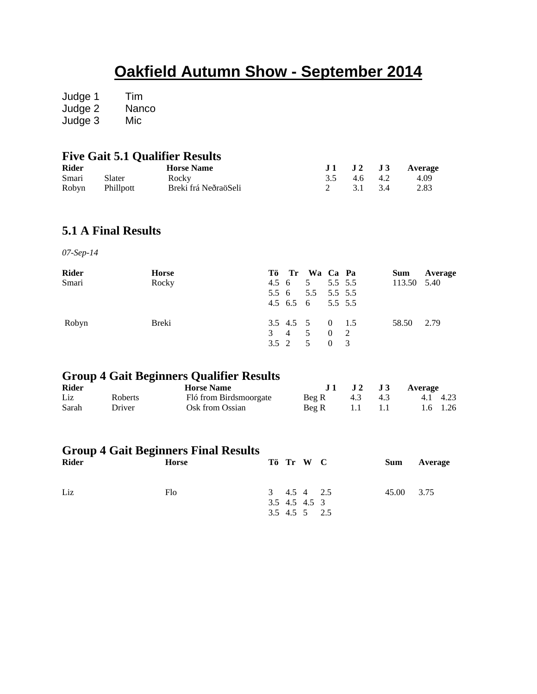# **Oakfield Autumn Show - September 2014**

Judge 1 Tim Judge 2 Nanco Judge 3 Mic

### **Five Gait 5.1 Qualifier Results**

| <b>Rider</b>    |        | <b>Horse Name</b>    |             |  | J1 J2 J3 Average |
|-----------------|--------|----------------------|-------------|--|------------------|
| Smari           | Slater | Rocky                | 3.5 4.6 4.2 |  | 4.09             |
| Robyn Phillpott |        | Breki frá NeðraöSeli | 2 3.1 3.4   |  | 2.83             |

### **5.1 A Final Results**

*07-Sep-14*

| <b>Rider</b> | <b>Horse</b> |  | Tö Tr Wa Ca Pa    |  | <b>Sum</b>  | Average |
|--------------|--------------|--|-------------------|--|-------------|---------|
| Smari        | Rocky        |  | 4.5 6 5 5.5 5.5   |  | 113.50 5.40 |         |
|              |              |  | 5.5 6 5.5 5.5 5.5 |  |             |         |
|              |              |  | 4.5 6.5 6 5.5 5.5 |  |             |         |
| Robyn        | Breki        |  | 3.5 4.5 5 0 1.5   |  | 58.50 2.79  |         |
|              |              |  | 3 4 5 0 2         |  |             |         |
|              |              |  | 3.5 2 5 0 3       |  |             |         |

#### **Group 4 Gait Beginners Qualifier Results**

| <b>Rider</b> |                | <b>Horse Name</b>      |                             |  | J 1 J 2 J 3 Average |  |  |
|--------------|----------------|------------------------|-----------------------------|--|---------------------|--|--|
| Liz.         | <b>Roberts</b> | Fló from Birdsmoorgate | Beg R $4.3$ $4.3$           |  | 4.1 4.23            |  |  |
| Sarah        | Driver         | Osk from Ossian        | $\text{Beg } R = 1.1 = 1.1$ |  | 1.6 1.26            |  |  |

### **Group 4 Gait Beginners Final Results**

| <b>Rider</b> | Horse |  | Tö Tr W C                    | Sum        | Average |
|--------------|-------|--|------------------------------|------------|---------|
| Liz          | Flo   |  | 3 4.5 4 2.5<br>3.5 4.5 4.5 3 | 45.00 3.75 |         |
|              |       |  | 3.5 4.5 5 2.5                |            |         |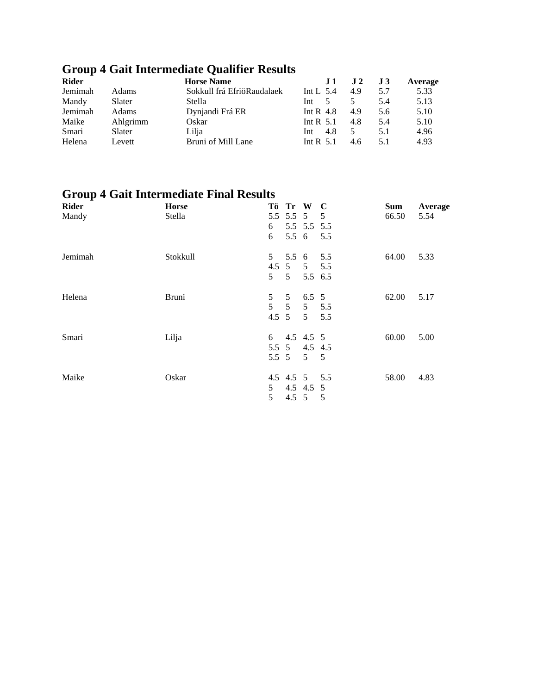# **Group 4 Gait Intermediate Qualifier Results**

| <b>Rider</b> |          | <b>Horse Name</b>          | .H          | $\bf{J}2$ | $\bf J3$ | Average |
|--------------|----------|----------------------------|-------------|-----------|----------|---------|
| Jemimah      | Adams    | Sokkull frá EfriöRaudalaek | Int L $5.4$ | 4.9       | 5.7      | 5.33    |
| Mandy        | Slater   | Stella                     | Int         |           | 5.4      | 5.13    |
| Jemimah      | Adams    | Dynjandi Frá ER            | Int R $4.8$ | 4.9       | 5.6      | 5.10    |
| Maike        | Ahlgrimm | Oskar                      | Int R $5.1$ | 4.8       | 5.4      | 5.10    |
| Smari        | Slater   | Lilja                      | 4.8<br>Int  | 5         | 5.1      | 4.96    |
| Helena       | Levett   | Bruni of Mill Lane         | Int R $5.1$ | 4.6       | 5.1      | 4.93    |

# **Group 4 Gait Intermediate Final Results**

| <b>Rider</b> | <b>Horse</b> |                | Tö Tr W         |                | $\mathbf C$    | Sum   | Average |
|--------------|--------------|----------------|-----------------|----------------|----------------|-------|---------|
| Mandy        | Stella       |                |                 | 5.5 5.5 5 5    |                | 66.50 | 5.54    |
|              |              | 6              |                 | 5.5 5.5 5.5    |                |       |         |
|              |              | 6              |                 | 5.5 6          | 5.5            |       |         |
| Jemimah      | Stokkull     | 5 <sup>5</sup> | $5.5\;6$        |                | 5.5            | 64.00 | 5.33    |
|              |              |                | 4.5 5           |                | 5 5.5          |       |         |
|              |              | 5 <sup>1</sup> | $5\overline{)}$ | 5.5 6.5        |                |       |         |
| Helena       | <b>Bruni</b> | 5              | 5               | $6.5\ 5$       |                | 62.00 | 5.17    |
|              |              | 5              | 5               |                | $5 \t 5.5$     |       |         |
|              |              | $4.5 \quad 5$  |                 | 5 <sup>5</sup> | 5.5            |       |         |
| Smari        | Lilja        | 6              |                 | 4.5 4.5 5      |                | 60.00 | 5.00    |
|              |              |                |                 | 5.5 5 4.5 4.5  |                |       |         |
|              |              |                | 5.5 5           | $5\quad 5$     |                |       |         |
| Maike        | Oskar        |                |                 | 4.5 4.5 5 5.5  |                | 58.00 | 4.83    |
|              |              | 5              |                 | 4.5 4.5 5      |                |       |         |
|              |              | 5              | $4.5 \quad 5$   |                | $\overline{5}$ |       |         |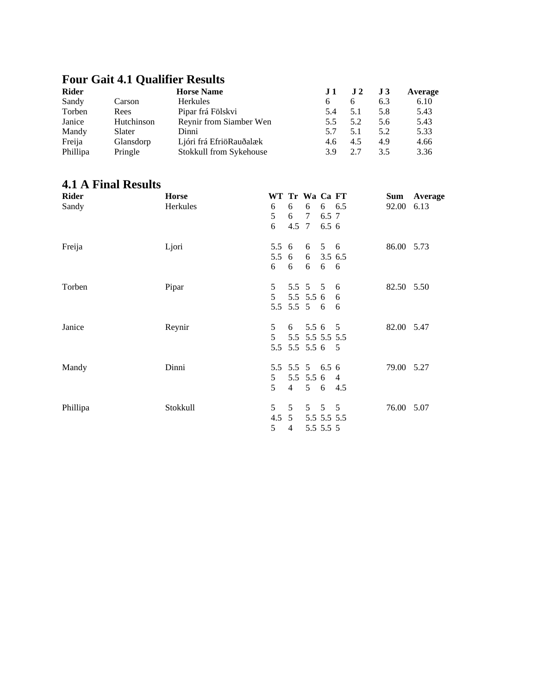# **Four Gait 4.1 Qualifier Results**

| <b>Rider</b> |            | <b>Horse Name</b>       |     | J <sub>2</sub> | J3  | Average |
|--------------|------------|-------------------------|-----|----------------|-----|---------|
| Sandy        | Carson     | <b>Herkules</b>         |     | h              | 6.3 | 6.10    |
| Torben       | Rees       | Pipar frá Fölskvi       | 5.4 | 5.1            | 5.8 | 5.43    |
| Janice       | Hutchinson | Reynir from Siamber Wen | 5.5 | 5.2            | 5.6 | 5.43    |
| Mandy        | Slater     | Dinni                   | 5.7 | 5.1            | 5.2 | 5.33    |
| Freija       | Glansdorp  | Ljóri frá EfriöRauðalæk | 4.6 | 4.5            | 4.9 | 4.66    |
| Phillipa     | Pringle    | Stokkull from Sykehouse | 3.9 | 2.7            | 3.5 | 3.36    |

### **4.1 A Final Results**

| <b>Rider</b> | <b>Horse</b> | WT Tr Wa Ca FT |                |                 |                   |       | Sum        | Average |
|--------------|--------------|----------------|----------------|-----------------|-------------------|-------|------------|---------|
| Sandy        | Herkules     | 6              | 6              | 6               |                   | 6 6.5 | 92.00      | 6.13    |
|              |              | 5              | 6              | $\tau$          | 6.5 7             |       |            |         |
|              |              | 6              | 4.5 7          |                 | 6.5 6             |       |            |         |
| Freija       | Ljori        | 5.5 6          |                | 6               | 5 6               |       | 86.00 5.73 |         |
|              |              | $5.5\quad 6$   |                | 6               | 3.5 6.5           |       |            |         |
|              |              | 6              | 6              | 6               | 6                 | - 6   |            |         |
| Torben       | Pipar        | 5              |                | 5.5 5 5         |                   | 6     | 82.50 5.50 |         |
|              |              | 5 <sup>1</sup> |                | 5.5 5.5 6       |                   | 6     |            |         |
|              |              |                |                | 5.5 5.5 5 6     |                   | - 6   |            |         |
| Janice       | Reynir       | 5              |                | $6$ 5.5 6 5     |                   |       | 82.00 5.47 |         |
|              |              | 5 <sup>5</sup> |                | 5.5 5.5 5.5 5.5 |                   |       |            |         |
|              |              |                |                | 5.5 5.5 5.5 6 5 |                   |       |            |         |
| Mandy        | Dinni        |                |                | 5.5 5.5 5 6.5 6 |                   |       | 79.00 5.27 |         |
|              |              | 5 <sup>5</sup> |                | 5.5 5.5 6 4     |                   |       |            |         |
|              |              | 5              | $\overline{4}$ |                 | 5 6               | 4.5   |            |         |
| Phillipa     | Stokkull     | 5 <sup>5</sup> | 5              |                 | $5\quad 5\quad 5$ |       | 76.00 5.07 |         |
|              |              |                | $4.5 \t5$      |                 | 5.5 5.5 5.5       |       |            |         |
|              |              | 5              | $\overline{4}$ |                 | 5.5 5.5 5         |       |            |         |
|              |              |                |                |                 |                   |       |            |         |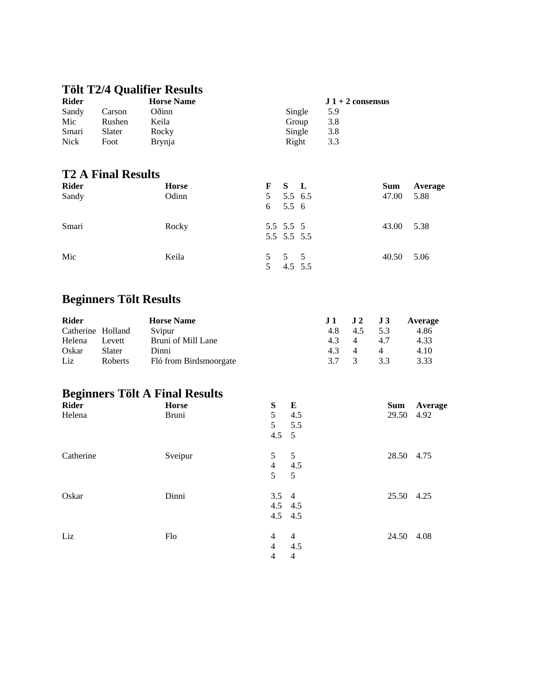### **Tölt T2/4 Qualifier Results**

| <b>Rider</b> |        | <b>Horse Name</b> |        | $J_1 + 2$ consensus |
|--------------|--------|-------------------|--------|---------------------|
| Sandy        | Carson | Oðinn             | Single | 5.9                 |
| Mic          | Rushen | Keila             | Group  | 3.8                 |
| Smari        | Slater | Rocky             | Single | 3.8                 |
| <b>Nick</b>  | Foot   | <b>Brynia</b>     | Right  | 3.3                 |

### **T2 A Final Results**

| <b>Rider</b> | <b>Horse</b> |   | F S L                    | <b>Sum</b> | Average |
|--------------|--------------|---|--------------------------|------------|---------|
| Sandy        | Odinn        |   | 5 5.5 6.5<br>6 5.5 6     | 47.00      | 5.88    |
| Smari        | Rocky        |   | 5.5 5.5 5<br>5.5 5.5 5.5 | 43.00      | 5.38    |
| Mic          | Keila        | 5 | 5 5 5<br>4.5 5.5         | 40.50 5.06 |         |

### **Beginners Tölt Results**

| <b>Rider</b>      |                | <b>Horse Name</b>      | $J1$ $J2$ $J3$ |               |          | Average |
|-------------------|----------------|------------------------|----------------|---------------|----------|---------|
| Catherine Holland |                | Svipur                 | 4.8            | 4.5           | 5.3      | 4.86    |
| Helena            | Levett         | Bruni of Mill Lane     | 43             | 4             | 47       | 4.33    |
| Oskar             | Slater         | Dinni                  | 4.3            | $\Delta$      | $\Delta$ | 4.10    |
| Liz               | <b>Roberts</b> | Fló from Birdsmoorgate | 37             | $\mathcal{R}$ | 3.3      | 3.33    |

# **Beginners Tölt A Final Results**

| <b>Rider</b> | <b>Horse</b> | S              | $\mathbf{E}$    | Sum        | Average |
|--------------|--------------|----------------|-----------------|------------|---------|
| Helena       | <b>Bruni</b> | 5              | 4.5             | 29.50 4.92 |         |
|              |              | 5 <sup>5</sup> | 5.5             |            |         |
|              |              | $4.5 \quad 5$  |                 |            |         |
| Catherine    | Sveipur      | 5 <sup>5</sup> | $5\overline{)}$ | 28.50 4.75 |         |
|              |              | $\overline{4}$ | 4.5             |            |         |
|              |              | 5              | 5               |            |         |
| Oskar        | Dinni        | $3.5 \quad 4$  |                 | 25.50 4.25 |         |
|              |              | $4.5$ $4.5$    |                 |            |         |
|              |              | $4.5$ $4.5$    |                 |            |         |
| Liz          | Flo          | $\overline{4}$ | $\overline{4}$  | 24.50      | 4.08    |
|              |              | $\overline{4}$ | 4.5             |            |         |
|              |              | $\overline{4}$ | 4               |            |         |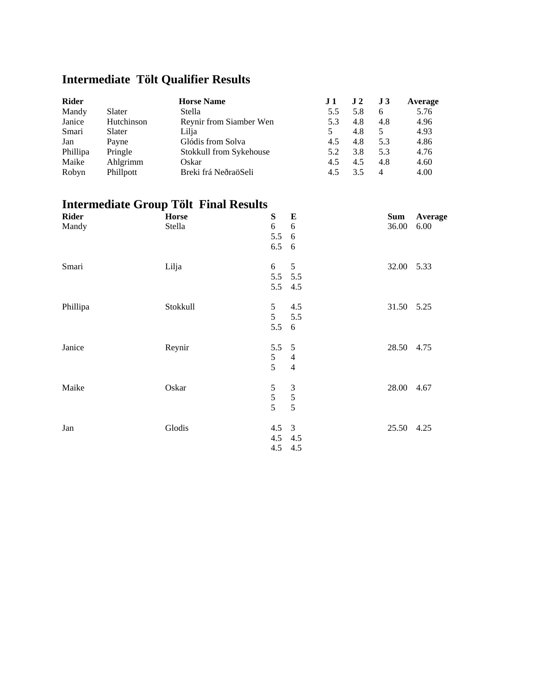# **Intermediate Tölt Qualifier Results**

| <b>Rider</b> |            | <b>Horse Name</b>       | .I 1 | $\bf J$ 2 | J <sub>3</sub> | Average |
|--------------|------------|-------------------------|------|-----------|----------------|---------|
| Mandy        | Slater     | Stella                  | 5.5  | 5.8       | 6              | 5.76    |
| Janice       | Hutchinson | Reynir from Siamber Wen | 5.3  | 4.8       | 4.8            | 4.96    |
| Smari        | Slater     | Lilja                   |      | 4.8       | 5              | 4.93    |
| Jan          | Payne      | Glódis from Solva       | 4.5  | 4.8       | 5.3            | 4.86    |
| Phillipa     | Pringle    | Stokkull from Sykehouse | 5.2  | 3.8       | 5.3            | 4.76    |
| Maike        | Ahlgrimm   | Oskar                   | 4.5  | 4.5       | 4.8            | 4.60    |
| Robyn        | Phillpott  | Breki frá NeðraöSeli    | 4.5  | 3.5       | 4              | 4.00    |

# **Intermediate Group Tölt Final Results**

| <b>Rider</b> | <b>Horse</b> | S<br>${\bf E}$                   | <b>Sum</b> | Average |
|--------------|--------------|----------------------------------|------------|---------|
| Mandy        | Stella       | 6<br>6                           | 36.00      | 6.00    |
|              |              | 5.5<br>- 6                       |            |         |
|              |              | 6.5<br>6                         |            |         |
| Smari        | Lilja        | 6<br>5                           | 32.00 5.33 |         |
|              |              | 5.5 5.5                          |            |         |
|              |              | 5.5 4.5                          |            |         |
| Phillipa     | Stokkull     | 5 <sup>5</sup><br>4.5            | 31.50 5.25 |         |
|              |              | 5 <sup>5</sup><br>5.5            |            |         |
|              |              | 5.5<br>6                         |            |         |
| Janice       | Reynir       | $5.5\ 5$                         | 28.50 4.75 |         |
|              |              | 5<br>$\overline{4}$              |            |         |
|              |              | 5<br>$\overline{4}$              |            |         |
| Maike        | Oskar        | $\mathfrak{S}$<br>$\mathfrak{Z}$ | 28.00 4.67 |         |
|              |              | 5                                |            |         |
|              |              | $\frac{5}{5}$<br>$\overline{5}$  |            |         |
| Jan          | Glodis       |                                  | 25.50 4.25 |         |
|              |              | $4.5 \quad 3$                    |            |         |
|              |              | 4.5 4.5                          |            |         |
|              |              | 4.5 4.5                          |            |         |